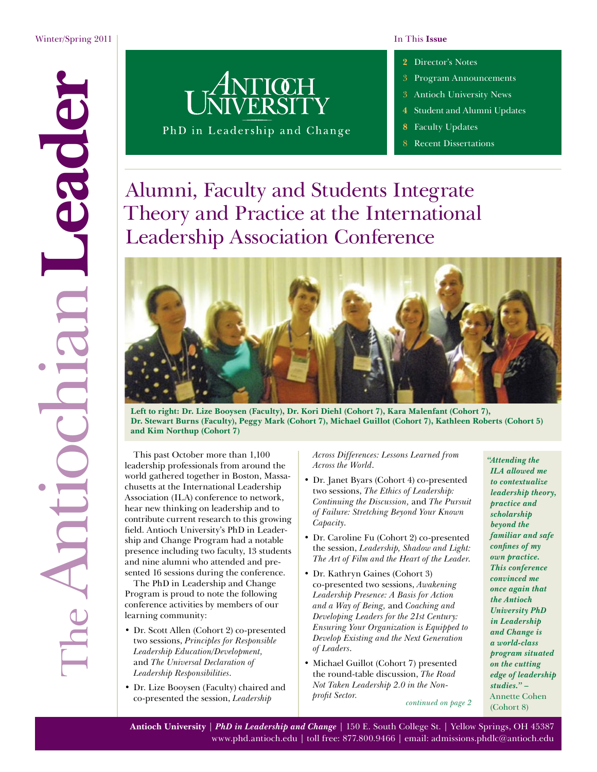<span id="page-0-0"></span>

PhD in Leadership and Change

- **2** [Director's Notes](#page-1-0)
- 3 [Program Announcements](#page-2-0)
- 3 [Antioch University News](#page-2-0)
- **4** [Student and Alumni Updates](#page-3-0)
- **8** [Faculty Updates](#page-7-0)
- **[Recent Dissertations](#page-7-0)**

# Alumni, Faculty and Students Integrate Theory and Practice at the International Leadership Association Conference



**Left to right: Dr. Lize Booysen (Faculty), Dr. Kori Diehl (Cohort 7), Kara Malenfant (Cohort 7), Dr. Stewart Burns (Faculty), Peggy Mark (Cohort 7), Michael Guillot (Cohort 7), Kathleen Roberts (Cohort 5) and Kim Northup (Cohort 7)**

This past October more than 1,100 leadership professionals from around the world gathered together in Boston, Massachusetts at the International Leadership Association (ILA) conference to network, hear new thinking on leadership and to contribute current research to this growing field. Antioch University's PhD in Leadership and Change Program had a notable presence including two faculty, 13 students and nine alumni who attended and presented 16 sessions during the conference.

**Dr. Stewart Burns**

The PhD in Leadership and Change Program is proud to note the following conference activities by members of our learning community:

- Dr. Scott Allen (Cohort 2) co-presented two sessions, *Principles for Responsible Leadership Education/Development,* and *The Universal Declaration of Leadership Responsibilities*.
- Dr. Lize Booysen (Faculty) chaired and co-presented the session, *Leadership*

*Across Differences: Lessons Learned from Across the World*.

- Dr. Janet Byars (Cohort 4) co-presented two sessions, *The Ethics of Leadership: Continuing the Discussion,* and *The Pursuit of Failure: Stretching Beyond Your Known Capacity*.
- Dr. Caroline Fu (Cohort 2) co-presented the session, *Leadership, Shadow and Light: The Art of Film and the Heart of the Leader*.
- Dr. Kathryn Gaines (Cohort 3) co-presented two sessions, *Awakening Leadership Presence: A Basis for Action and a Way of Being,* and *Coaching and Developing Leaders for the 21st Century: Ensuring Your Organization is Equipped to Develop Existing and the Next Generation of Leaders*.
- Michael Guillot (Cohort 7) presented the round-table discussion, *The Road Not Taken Leadership 2.0 in the Nonprofit Sector. [continued on page 2](#page-1-1)*

*"Attending the ILA allowed me to contextualize leadership theory, practice and scholarship beyond the familiar and safe confines of my own practice. This conference convinced me once again that the Antioch University PhD in Leadership and Change is a world-class program situated on the cutting edge of leadership studies." –*  Annette Cohen (Cohort 8)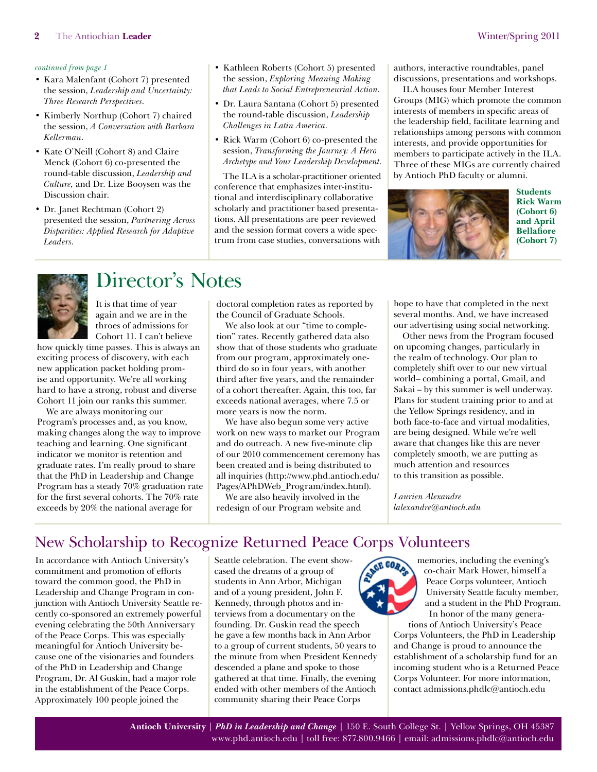- <span id="page-1-1"></span><span id="page-1-0"></span>• Kara Malenfant (Cohort 7) presented the session, *Leadership and Uncertainty: Three Research Perspectives*.
- Kimberly Northup (Cohort 7) chaired the session, *A Conversation with Barbara Kellerman*.
- Kate O'Neill (Cohort 8) and Claire Menck (Cohort 6) co-presented the round-table discussion, *Leadership and Culture,* and Dr. Lize Booysen was the Discussion chair.
- Dr. Janet Rechtman (Cohort 2) presented the session, *Partnering Across Disparities: Applied Research for Adaptive Leaders*.
- Kathleen Roberts (Cohort 5) presented the session, *Exploring Meaning Making that Leads to Social Entrepreneurial Action*.
- Dr. Laura Santana (Cohort 5) presented the round-table discussion, *Leadership Challenges in Latin America.*
- Rick Warm (Cohort 6) co-presented the session, *Transforming the Journey: A Hero Archetype and Your Leadership Development.*

The ILA is a scholar-practitioner oriented conference that emphasizes inter-institutional and interdisciplinary collaborative scholarly and practitioner based presentations. All presentations are peer reviewed and the session format covers a wide spectrum from case studies, conversations with authors, interactive roundtables, panel discussions, presentations and workshops.

ILA houses four Member Interest Groups (MIG) which promote the common interests of members in specific areas of the leadership field, facilitate learning and relationships among persons with common interests, and provide opportunities for members to participate actively in the ILA. Three of these MIGs are currently chaired by Antioch PhD faculty or alumni.





# Director's Notes

It is that time of year again and we are in the throes of admissions for Cohort 11. I can't believe

how quickly time passes. This is always an exciting process of discovery, with each new application packet holding promise and opportunity. We're all working hard to have a strong, robust and diverse Cohort 11 join our ranks this summer.

We are always monitoring our Program's processes and, as you know, making changes along the way to improve teaching and learning. One significant indicator we monitor is retention and graduate rates. I'm really proud to share that the PhD in Leadership and Change Program has a steady 70% graduation rate for the first several cohorts. The 70% rate exceeds by 20% the national average for

doctoral completion rates as reported by the Council of Graduate Schools.

We also look at our "time to completion" rates. Recently gathered data also show that of those students who graduate from our program, approximately onethird do so in four years, with another third after five years, and the remainder of a cohort thereafter. Again, this too, far exceeds national averages, where 7.5 or more years is now the norm.

We have also begun some very active work on new ways to market our Program and do outreach. A new five-minute clip of our 2010 commencement ceremony has been created and is being distributed to all inquiries ([http://www.phd.antioch.edu/](http://www.phd.antioch.edu/Pages/APhDWeb_Program/index.html) [Pages/APhDWeb\\_Program/index.html\)](http://www.phd.antioch.edu/Pages/APhDWeb_Program/index.html).

We are also heavily involved in the redesign of our Program website and hope to have that completed in the next several months. And, we have increased our advertising using social networking.

Other news from the Program focused on upcoming changes, particularly in the realm of technology. Our plan to completely shift over to our new virtual world– combining a portal, Gmail, and Sakai – by this summer is well underway. Plans for student training prior to and at the Yellow Springs residency, and in both face-to-face and virtual modalities, are being designed. While we're well aware that changes like this are never completely smooth, we are putting as much attention and resources to this transition as possible.

*Laurien Alexandre [lalexandre@antioch.edu](mailto:lalexandre@antioch.edu)*

# New Scholarship to Recognize Returned Peace Corps Volunteers

In accordance with Antioch University's commitment and promotion of efforts toward the common good, the PhD in Leadership and Change Program in conjunction with Antioch University Seattle recently co-sponsored an extremely powerful evening celebrating the 50th Anniversary of the Peace Corps. This was especially meaningful for Antioch University because one of the visionaries and founders of the PhD in Leadership and Change Program, Dr. Al Guskin, had a major role in the establishment of the Peace Corps. Approximately 100 people joined the

Seattle celebration. The event showcased the dreams of a group of students in Ann Arbor, Michigan and of a young president, John F. Kennedy, through photos and interviews from a documentary on the founding. Dr. Guskin read the speech he gave a few months back in Ann Arbor to a group of current students, 50 years to the minute from when President Kennedy descended a plane and spoke to those gathered at that time. Finally, the evening ended with other members of the Antioch community sharing their Peace Corps



memories, including the evening's co-chair Mark Hower, himself a Peace Corps volunteer, Antioch University Seattle faculty member, and a student in the PhD Program. In honor of the many genera-

tions of Antioch University's Peace Corps Volunteers, the PhD in Leadership and Change is proud to announce the establishment of a scholarship fund for an incoming student who is a Returned Peace Corps Volunteer. For more information, contact [admissions.phdlc@antioch.edu](mailto:admissions.phdlc@antioch.edu)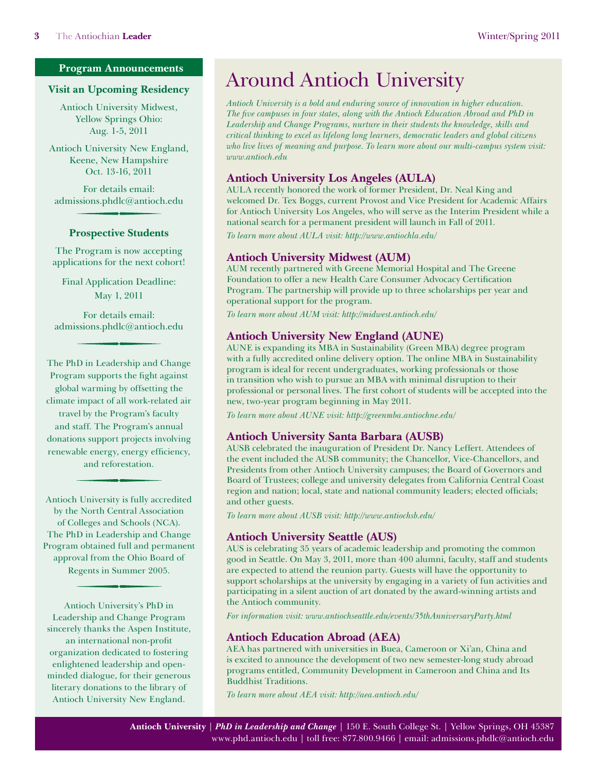#### <span id="page-2-0"></span>**Program Announcements**

#### **Visit an Upcoming Residency**

Antioch University Midwest, Yellow Springs Ohio: Aug. 1-5, 2011

Antioch University New England, Keene, New Hampshire Oct. 13-16, 2011

For details email: [admissions.phdlc@antioch.edu](mailto:admissions.phdlc@antioch.edu)

#### **Prospective Students**

The Program is now accepting applications for the next cohort!

Final Application Deadline: May 1, 2011

For details email: [admissions.phdlc@antioch.edu](mailto:admissions.phdlc@antioch.edu)

The PhD in Leadership and Change Program supports the fight against global warming by offsetting the climate impact of all work-related air travel by the Program's faculty and staff. The Program's annual donations support projects involving renewable energy, energy efficiency, and reforestation.

Antioch University is fully accredited by the North Central Association of Colleges and Schools (NCA). The PhD in Leadership and Change Program obtained full and permanent approval from the Ohio Board of Regents in Summer 2005.

Antioch University's PhD in Leadership and Change Program sincerely thanks the Aspen Institute, an international non-profit organization dedicated to fostering enlightened leadership and openminded dialogue, for their generous literary donations to the library of Antioch University New England.

# Around Antioch University

*Antioch University is a bold and enduring source of innovation in higher education. The five campuses in four states, along with the Antioch Education Abroad and PhD in Leadership and Change Programs, nurture in their students the knowledge, skills and critical thinking to excel as lifelong long learners, democratic leaders and global citizens who live lives of meaning and purpose. To learn more about our multi-campus system visit: [www.antioch.edu](http://www.antioch.edu)*

#### **Antioch University Los Angeles (AULA)**

AULA recently honored the work of former President, Dr. Neal King and welcomed Dr. Tex Boggs, current Provost and Vice President for Academic Affairs for Antioch University Los Angeles, who will serve as the Interim President while a national search for a permanent president will launch in Fall of 2011.

*To learn more about AULA visit: <http://www.antiochla.edu/>*

#### **Antioch University Midwest (AUM)**

AUM recently partnered with Greene Memorial Hospital and The Greene Foundation to offer a new Health Care Consumer Advocacy Certification Program. The partnership will provide up to three scholarships per year and operational support for the program.

*To learn more about AUM visit:<http://midwest.antioch.edu/>*

#### **Antioch University New England (AUNE)**

AUNE is expanding its MBA in Sustainability (Green MBA) degree program with a fully accredited online delivery option. The online MBA in Sustainability program is ideal for recent undergraduates, working professionals or those in transition who wish to pursue an MBA with minimal disruption to their professional or personal lives. The first cohort of students will be accepted into the new, two-year program beginning in May 2011.

*To learn more about AUNE visit: <http://greenmba.antiochne.edu>/*

#### **Antioch University Santa Barbara (AUSB)**

AUSB celebrated the inauguration of President Dr. Nancy Leffert. Attendees of the event included the AUSB community; the Chancellor, Vice-Chancellors, and Presidents from other Antioch University campuses; the Board of Governors and Board of Trustees; college and university delegates from California Central Coast region and nation; local, state and national community leaders; elected officials; and other guests.

*To learn more about AUSB visit:<http://www.antiochsb.edu/>*

#### **Antioch University Seattle (AUS)**

AUS is celebrating 35 years of academic leadership and promoting the common good in Seattle. On May 3, 2011, more than 400 alumni, faculty, staff and students are expected to attend the reunion party. Guests will have the opportunity to support scholarships at the university by engaging in a variety of fun activities and participating in a silent auction of art donated by the award-winning artists and the Antioch community.

*For information visit: <www.antiochseattle.edu/events/35thAnniversaryParty.html>*

### **Antioch Education Abroad (AEA)**

AEA has partnered with universities in Buea, Cameroon or Xi'an, China and is excited to announce the development of two new semester-long study abroad programs entitled, Community Development in Cameroon and China and Its Buddhist Traditions.

*To learn more about AEA visit: [http://aea.antioch.edu/](http://aea.antioch.edu)*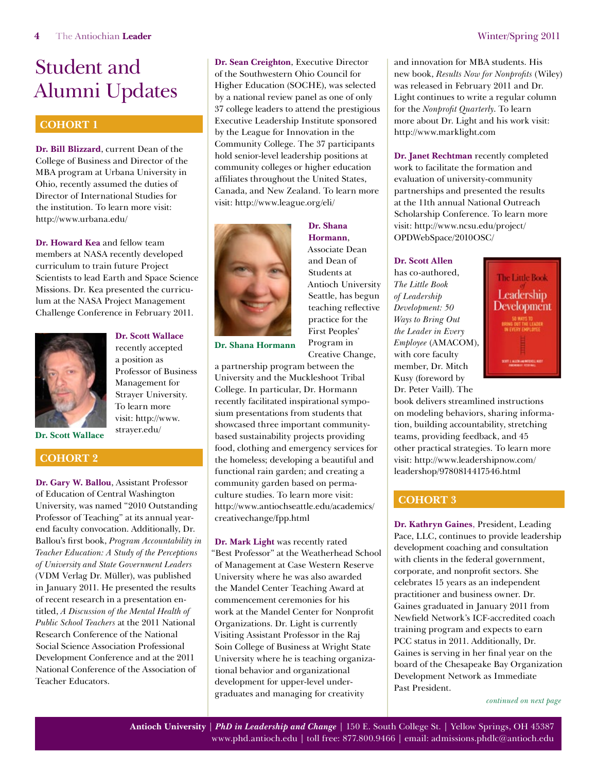# <span id="page-3-1"></span><span id="page-3-0"></span>**COHORT 1**

**Dr. Bill Blizzard**, current Dean of the College of Business and Director of the MBA program at Urbana University in Ohio, recently assumed the duties of Director of International Studies for the institution. To learn more visit: <http://www.urbana.edu/>

**Dr. Howard Kea** and fellow team members at NASA recently developed curriculum to train future Project Scientists to lead Earth and Space Science Missions. Dr. Kea presented the curriculum at the NASA Project Management Challenge Conference in February 2011.



**Dr. Scott Wallace** recently accepted a position as Professor of Business Management for Strayer University. To learn more visit: [http://www.](http://www.strayer.edu/) [strayer.edu/](http://www.strayer.edu/)

**Dr. Scott Wallace**

### **Cohort 2**

**Dr. Gary W. Ballou**, Assistant Professor of Education of Central Washington University, was named "2010 Outstanding Professor of Teaching" at its annual yearend faculty convocation. Additionally, Dr. Ballou's first book, *Program Accountability in Teacher Education: A Study of the Perceptions of University and State Government Leaders* (VDM Verlag Dr. Müller), was published in January 2011. He presented the results of recent research in a presentation entitled, *A Discussion of the Mental Health of Public School Teachers* at the 2011 National Research Conference of the National Social Science Association Professional Development Conference and at the 2011 National Conference of the Association of Teacher Educators.

**Dr. Sean Creighton**, Executive Director of the Southwestern Ohio Council for Higher Education (SOCHE), was selected by a national review panel as one of only 37 college leaders to attend the prestigious Executive Leadership Institute sponsored by the League for Innovation in the Community College. The 37 participants hold senior-level leadership positions at community colleges or higher education affiliates throughout the United States, Canada, and New Zealand. To learn more visit:<http://www.league.org/eli/>



**Dr. Shana Hormann**, Associate Dean and Dean of Students at Antioch University Seattle, has begun teaching reflective practice for the First Peoples' Program in Creative Change,

**Dr. Shana Hormann**

a partnership program between the University and the Muckleshoot Tribal College. In particular, Dr. Hormann recently facilitated inspirational symposium presentations from students that showcased three important communitybased sustainability projects providing food, clothing and emergency services for the homeless; developing a beautiful and functional rain garden; and creating a community garden based on permaculture studies. To learn more visit: [http://www.antiochseattle.edu/academics/](http://www.antiochseattle.edu/academics/creativechange/fpp.html) [creativechange/fpp.html](http://www.antiochseattle.edu/academics/creativechange/fpp.html)

**Dr. Mark Light** was recently rated "Best Professor" at the Weatherhead School of Management at Case Western Reserve University where he was also awarded the Mandel Center Teaching Award at commencement ceremonies for his work at the Mandel Center for Nonprofit Organizations. Dr. Light is currently Visiting Assistant Professor in the Raj Soin College of Business at Wright State University where he is teaching organizational behavior and organizational development for upper-level undergraduates and managing for creativity

and innovation for MBA students. His new book, *Results Now for Nonprofits* (Wiley) was released in February 2011 and Dr. Light continues to write a regular column for the *Nonprofit Quarterly*. To learn more about Dr. Light and his work visit: <http://www.marklight.com>

**Dr. Janet Rechtman** recently completed work to facilitate the formation and evaluation of university-community partnerships and presented the results at the 11th annual National Outreach Scholarship Conference. To learn more visit: [http://www.ncsu.edu/project/](http://www.ncsu.edu/project/OPDWebSpace/2010OSC) [OPDWebSpace/2010OSC/](http://www.ncsu.edu/project/OPDWebSpace/2010OSC)

#### **Dr. Scott Allen**

has co-authored, *The Little Book of Leadership Development: 50 Ways to Bring Out the Leader in Every Employee* (AMACOM), with core faculty member, Dr. Mitch Kusy (foreword by Dr. Peter Vaill). The



book delivers streamlined instructions on modeling behaviors, sharing information, building accountability, stretching teams, providing feedback, and 45 other practical strategies. To learn more visit: [http://www.leadershipnow.com/](http://www.leadershipnow.com/leadershop/9780814417546.html) [leadershop/9780814417546.html](http://www.leadershipnow.com/leadershop/9780814417546.html)

# **Cohort 3**

**Dr. Kathryn Gaines**, President, Leading Pace, LLC, continues to provide leadership development coaching and consultation with clients in the federal government, corporate, and nonprofit sectors. She celebrates 15 years as an independent practitioner and business owner. Dr. Gaines graduated in January 2011 from Newfield Network's ICF-accredited coach training program and expects to earn PCC status in 2011. Additionally, Dr. Gaines is serving in her final year on the board of the Chesapeake Bay Organization Development Network as Immediate Past President.

*[continued on next page](#page-4-0)*

**Antioch University** | *PhD in Leadership and Change* | 150 E. South College St. | Yellow Springs, OH 45387 [www.phd.antioch.edu](http://www.phd.antioch.edu) | toll free: 877.800.9466 | email: [admissions.phdlc@antioch.edu](mailto:admissions.phdlc%40antioch.edu?subject=)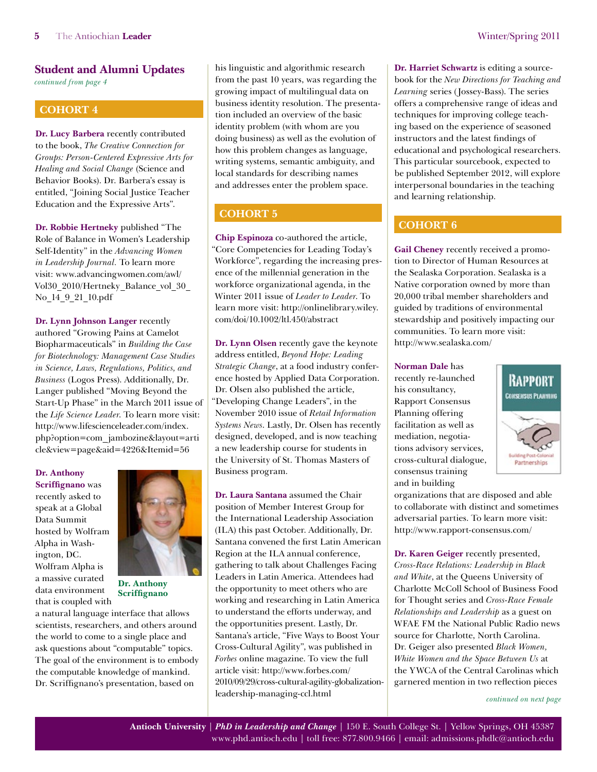<span id="page-4-0"></span>*[continued from page 4](#page-3-1)*

# **Cohort 4**

**Dr. Lucy Barbera** recently contributed to the book, *The Creative Connection for Groups: Person-Centered Expressive Arts for Healing and Social Change* (Science and Behavior Books). Dr. Barbera's essay is entitled, "Joining Social Justice Teacher Education and the Expressive Arts".

**Dr. Robbie Hertneky** published "The Role of Balance in Women's Leadership Self-Identity" in the *Advancing Women in Leadership Journal.* To learn more visit: [www.advancingwomen.com/awl/](www.advancingwomen.com/awl/Vol30_2010/Hertneky_Balance_vol_30_No_14_9_21_10.pdf) [Vol30\\_2010/Hertneky\\_Balance\\_vol\\_30\\_](www.advancingwomen.com/awl/Vol30_2010/Hertneky_Balance_vol_30_No_14_9_21_10.pdf) [No\\_14\\_9\\_21\\_10.pdf](www.advancingwomen.com/awl/Vol30_2010/Hertneky_Balance_vol_30_No_14_9_21_10.pdf)

**Dr. Lynn Johnson Langer** recently authored "Growing Pains at Camelot Biopharmaceuticals" in *Building the Case for Biotechnology: Management Case Studies in Science, Laws, Regulations, Politics, and Business* (Logos Press). Additionally, Dr. Langer published "Moving Beyond the Start-Up Phase" in the March 2011 issue of the *Life Science Leader*. To learn more visit: [http://www.lifescienceleader.com/index.](http://www.lifescienceleader.com/index.php?option=com_jambozine&layout=article&view=page&aid=4226&Itemid=56) [php?option=com\\_jambozine&layout=arti](http://www.lifescienceleader.com/index.php?option=com_jambozine&layout=article&view=page&aid=4226&Itemid=56) [cle&view=page&aid=4226&Itemid=56](http://www.lifescienceleader.com/index.php?option=com_jambozine&layout=article&view=page&aid=4226&Itemid=56)

**Dr. Anthony Scriffignano** was recently asked to speak at a Global Data Summit hosted by Wolfram Alpha in Washington, DC. Wolfram Alpha is a massive curated data environment that is coupled with



**Dr. Anthony Scriffignano**

a natural language interface that allows scientists, researchers, and others around the world to come to a single place and ask questions about "computable" topics. The goal of the environment is to embody the computable knowledge of mankind. Dr. Scriffignano's presentation, based on

his linguistic and algorithmic research from the past 10 years, was regarding the growing impact of multilingual data on business identity resolution. The presentation included an overview of the basic identity problem (with whom are you doing business) as well as the evolution of how this problem changes as language, writing systems, semantic ambiguity, and local standards for describing names and addresses enter the problem space.

# **Cohort 5**

**Chip Espinoza** co-authored the article, "Core Competencies for Leading Today's Workforce", regarding the increasing presence of the millennial generation in the workforce organizational agenda, in the Winter 2011 issue of *Leader to Leader*. To learn more visit: [http://onlinelibrary.wiley.](http://onlinelibrary.wiley.com/doi/10.1002/ltl.450/abstract) [com/doi/10.1002/ltl.450/abstract](http://onlinelibrary.wiley.com/doi/10.1002/ltl.450/abstract)

**Dr. Lynn Olsen** recently gave the keynote address entitled, *Beyond Hope: Leading Strategic Change*, at a food industry conference hosted by Applied Data Corporation. Dr. Olsen also published the article, "Developing Change Leaders", in the November 2010 issue of *Retail Information Systems News*. Lastly, Dr. Olsen has recently designed, developed, and is now teaching a new leadership course for students in the University of St. Thomas Masters of Business program.

**Dr. Laura Santana** assumed the Chair position of Member Interest Group for the International Leadership Association (ILA) this past October. Additionally, Dr. Santana convened the first Latin American Region at the ILA annual conference, gathering to talk about Challenges Facing Leaders in Latin America. Attendees had the opportunity to meet others who are working and researching in Latin America to understand the efforts underway, and the opportunities present. Lastly, Dr. Santana's article, "Five Ways to Boost Your Cross-Cultural Agility", was published in *Forbes* online magazine. To view the full article visit: [http://www.forbes.com/](http://www.forbes.com/2010/09/29/cross-cultural-agility-globalization-leadership-managing-ccl.html) [2010/09/29/cross-cultural-agility-globalization](http://www.forbes.com/2010/09/29/cross-cultural-agility-globalization-leadership-managing-ccl.html)[leadership-managing-ccl.html](http://www.forbes.com/2010/09/29/cross-cultural-agility-globalization-leadership-managing-ccl.html)

**Dr. Harriet Schwartz** is editing a sourcebook for the *New Directions for Teaching and Learning* series (Jossey-Bass). The series offers a comprehensive range of ideas and techniques for improving college teaching based on the experience of seasoned instructors and the latest findings of educational and psychological researchers. This particular sourcebook, expected to be published September 2012, will explore interpersonal boundaries in the teaching and learning relationship.

# **COHORT 6**

**Gail Cheney** recently received a promotion to Director of Human Resources at the Sealaska Corporation. Sealaska is a Native corporation owned by more than 20,000 tribal member shareholders and guided by traditions of environmental stewardship and positively impacting our communities. To learn more visit: <http://www.sealaska.com/>

**Norman Dale** has recently re-launched his consultancy, Rapport Consensus Planning offering facilitation as well as mediation, negotiations advisory services, cross-cultural dialogue, consensus training and in building

organizations that are disposed and able to collaborate with distinct and sometimes adversarial parties. To learn more visit: <http://www.rapport-consensus.com/>

**Dr. Karen Geiger** recently presented, *Cross-Race Relations: Leadership in Black and White*, at the Queens University of Charlotte McColl School of Business Food for Thought series and *Cross-Race Female Relationships and Leadership* as a guest on WFAE FM the National Public Radio news source for Charlotte, North Carolina. Dr. Geiger also presented *Black Women, White Women and the Space Between Us* at the YWCA of the Central Carolinas which garnered mention in two reflection pieces

*[continued on next page](#page-5-0)*

RAPPORT **CONSENSUS PLANNING** 

Partnerships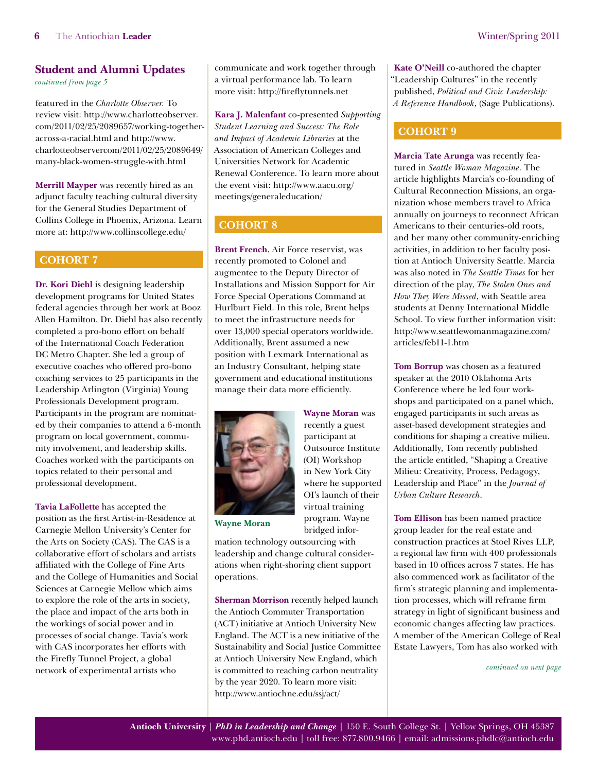<span id="page-5-0"></span>*[continued from page 5](#page-4-0)*

featured in the *Charlotte Observer.* To review visit: [http://www.charlotteobserver.](http://www.charlotteobserver.com/2011/02/25/2089657/working-together-across-a-racial.html) [com/2011/ 02/25/2089657/working-together](http://www.charlotteobserver.com/2011/02/25/2089657/working-together-across-a-racial.html)[across-a-racial.html](http://www.charlotteobserver.com/2011/02/25/2089657/working-together-across-a-racial.html) and [http://www.](http://www.charlotteobserver.com/2011/02/25/2089649/many-black-women-struggle-with.html) [charlotteobservercom/2011/02/25/2089649/](http://www.charlotteobserver.com/2011/02/25/2089649/many-black-women-struggle-with.html) [many-black-women-struggle-with.html](http://www.charlotteobserver.com/2011/02/25/2089649/many-black-women-struggle-with.html)

**Merrill Mayper** was recently hired as an adjunct faculty teaching cultural diversity for the General Studies Department of Collins College in Phoenix, Arizona. Learn more at:<http://www.collinscollege.edu/>

#### **COHORT 7**

**Dr. Kori Diehl** is designing leadership development programs for United States federal agencies through her work at Booz Allen Hamilton. Dr. Diehl has also recently completed a pro-bono effort on behalf of the International Coach Federation DC Metro Chapter. She led a group of executive coaches who offered pro-bono coaching services to 25 participants in the Leadership Arlington (Virginia) Young Professionals Development program. Participants in the program are nominated by their companies to attend a 6-month program on local government, community involvement, and leadership skills. Coaches worked with the participants on topics related to their personal and professional development.

**Tavia LaFollette** has accepted the position as the first Artist-in-Residence at Carnegie Mellon University's Center for the Arts on Society (CAS). The CAS is a collaborative effort of scholars and artists affiliated with the College of Fine Arts and the College of Humanities and Social Sciences at Carnegie Mellow which aims to explore the role of the arts in society, the place and impact of the arts both in the workings of social power and in processes of social change. Tavia's work with CAS incorporates her efforts with the Firefly Tunnel Project, a global network of experimental artists who

communicate and work together through a virtual performance lab. To learn more visit: <http://fireflytunnels.net>

**Kara J. Malenfant** co-presented *Supporting Student Learning and Success: The Role and Impact of Academic Libraries* at the Association of American Colleges and Universities Network for Academic Renewal Conference. To learn more about the event visit: [http://www.aacu.org/](http://www.aacu.org/meetings/generaleducation/) [meetings/generaleducation/](http://www.aacu.org/meetings/generaleducation/)

## **Cohort 8**

**Brent French**, Air Force reservist, was recently promoted to Colonel and augmentee to the Deputy Director of Installations and Mission Support for Air Force Special Operations Command at Hurlburt Field. In this role, Brent helps to meet the infrastructure needs for over 13,000 special operators worldwide. Additionally, Brent assumed a new position with Lexmark International as an Industry Consultant, helping state government and educational institutions manage their data more efficiently.



**Wayne Moran** was recently a guest participant at Outsource Institute (OI) Workshop in New York City where he supported OI's launch of their virtual training program. Wayne bridged infor-

**Wayne Moran** 

mation technology outsourcing with leadership and change cultural considerations when right-shoring client support operations.

**Sherman Morrison** recently helped launch the Antioch Commuter Transportation (ACT) initiative at Antioch University New England. The ACT is a new initiative of the Sustainability and Social Justice Committee at Antioch University New England, which is committed to reaching carbon neutrality by the year 2020. To learn more visit: <http://www.antiochne.edu/ssj/act/>

**Kate O'Neill** co-authored the chapter "Leadership Cultures" in the recently published, *Political and Civic Leadership: A Reference Handbook*, (Sage Publications).

### **Cohort 9**

**Marcia Tate Arunga** was recently featured in *Seattle Woman Magazine*. The article highlights Marcia's co-founding of Cultural Reconnection Missions, an organization whose members travel to Africa annually on journeys to reconnect African Americans to their centuries-old roots, and her many other community-enriching activities, in addition to her faculty position at Antioch University Seattle. Marcia was also noted in *The Seattle Times* for her direction of the play, *The Stolen Ones and How They Were Missed*, with Seattle area students at Denny International Middle School. To view further information visit: [http://www.seattlewomanmagazine.com/](http://www.seattlewomanmagazine.com/articles/feb11-1.htm) [articles/feb11-1.htm](http://www.seattlewomanmagazine.com/articles/feb11-1.htm)

**Tom Borrup** was chosen as a featured speaker at the 2010 Oklahoma Arts Conference where he led four workshops and participated on a panel which, engaged participants in such areas as asset-based development strategies and conditions for shaping a creative milieu. Additionally, Tom recently published the article entitled, "Shaping a Creative Milieu: Creativity, Process, Pedagogy, Leadership and Place" in the *Journal of Urban Culture Research*.

**Tom Ellison** has been named practice group leader for the real estate and construction practices at Stoel Rives LLP, a regional law firm with 400 professionals based in 10 offices across 7 states. He has also commenced work as facilitator of the firm's strategic planning and implementation processes, which will reframe firm strategy in light of significant business and economic changes affecting law practices. A member of the American College of Real Estate Lawyers, Tom has also worked with

*[continued on next page](#page-6-0)*

**Antioch University** | *PhD in Leadership and Change* | 150 E. South College St. | Yellow Springs, OH 45387 [www.phd.antioch.edu](http://www.phd.antioch.edu) | toll free: 877.800.9466 | email: [admissions.phdlc@antioch.edu](mailto:admissions.phdlc%40antioch.edu?subject=)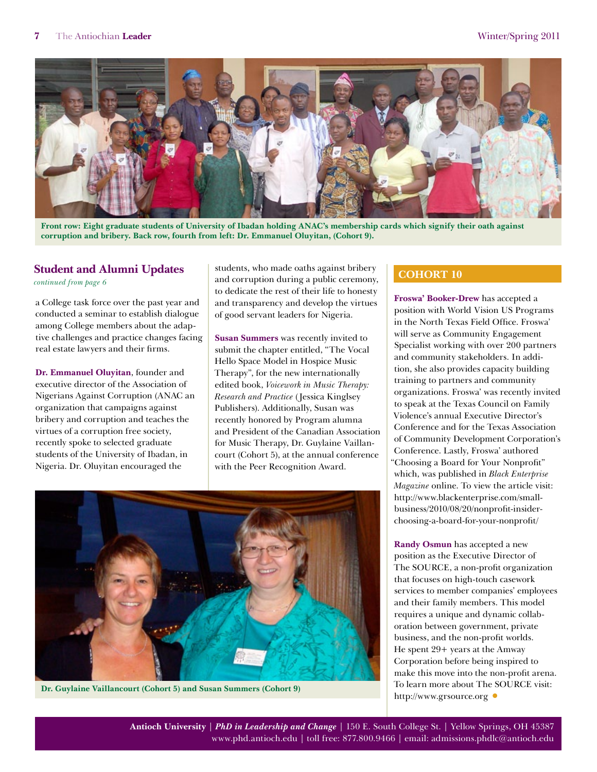<span id="page-6-0"></span>

**Front row: Eight graduate students of University of Ibadan holding ANAC's membership cards which signify their oath against corruption and bribery. Back row, fourth from left: Dr. Emmanuel Oluyitan, (Cohort 9).**

*[continued from page 6](#page-5-0)*

a College task force over the past year and conducted a seminar to establish dialogue among College members about the adaptive challenges and practice changes facing real estate lawyers and their firms.

**Dr. Emmanuel Oluyitan**, founder and executive director of the Association of Nigerians Against Corruption (ANAC an organization that campaigns against bribery and corruption and teaches the virtues of a corruption free society, recently spoke to selected graduate students of the University of Ibadan, in Nigeria. Dr. Oluyitan encouraged the

students, who made oaths against bribery and corruption during a public ceremony, to dedicate the rest of their life to honesty and transparency and develop the virtues of good servant leaders for Nigeria.

**Susan Summers** was recently invited to submit the chapter entitled, "The Vocal Hello Space Model in Hospice Music Therapy", for the new internationally edited book, *Voicework in Music Therapy: Research and Practice* (Jessica Kinglsey Publishers). Additionally, Susan was recently honored by Program alumna and President of the Canadian Association for Music Therapy, Dr. Guylaine Vaillancourt (Cohort 5), at the annual conference with the Peer Recognition Award.



**Dr. Guylaine Vaillancourt (Cohort 5) and Susan Summers (Cohort 9)**

# **Cohort 10**

**Froswa' Booker-Drew** has accepted a position with World Vision US Programs in the North Texas Field Office. Froswa' will serve as Community Engagement Specialist working with over 200 partners and community stakeholders. In addition, she also provides capacity building training to partners and community organizations. Froswa' was recently invited to speak at the Texas Council on Family Violence's annual Executive Director's Conference and for the Texas Association of Community Development Corporation's Conference. Lastly, Froswa' authored "Choosing a Board for Your Nonprofit" which, was published in *Black Enterprise Magazine* online. To view the article visit: [http://www.blackenterprise.com/small](http://www.blackenterprise.com/small-business/2010/08/20/nonprofit-insider-choosing-a-board-for-your-nonprofit/)[business/2010/08/20/nonprofit-insider](http://www.blackenterprise.com/small-business/2010/08/20/nonprofit-insider-choosing-a-board-for-your-nonprofit/)[choosing-a-board-for-your-nonprofit/](http://www.blackenterprise.com/small-business/2010/08/20/nonprofit-insider-choosing-a-board-for-your-nonprofit/)

**Randy Osmun** has accepted a new position as the Executive Director of The SOURCE, a non-profit organization that focuses on high-touch casework services to member companies' employees and their family members. This model requires a unique and dynamic collaboration between government, private business, and the non-profit worlds. He spent 29+ years at the Amway Corporation before being inspired to make this move into the non-profit arena. To learn more about The SOURCE visit: <http://www.grsource.org>**•**